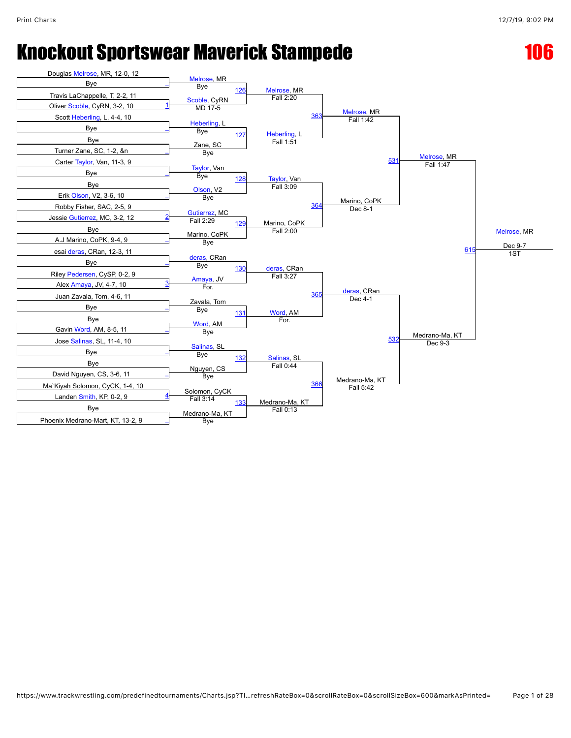

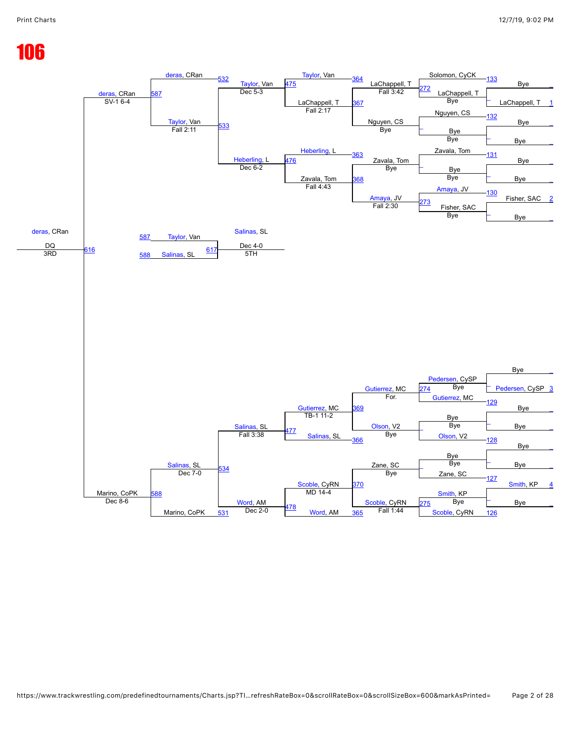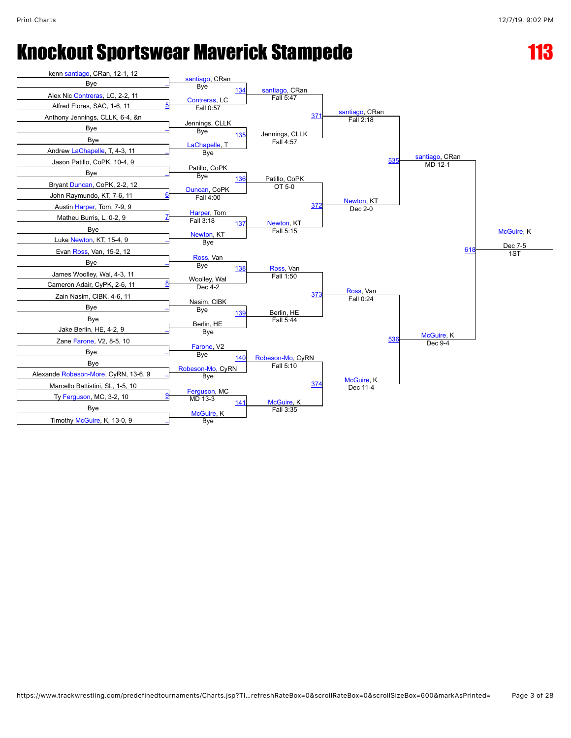

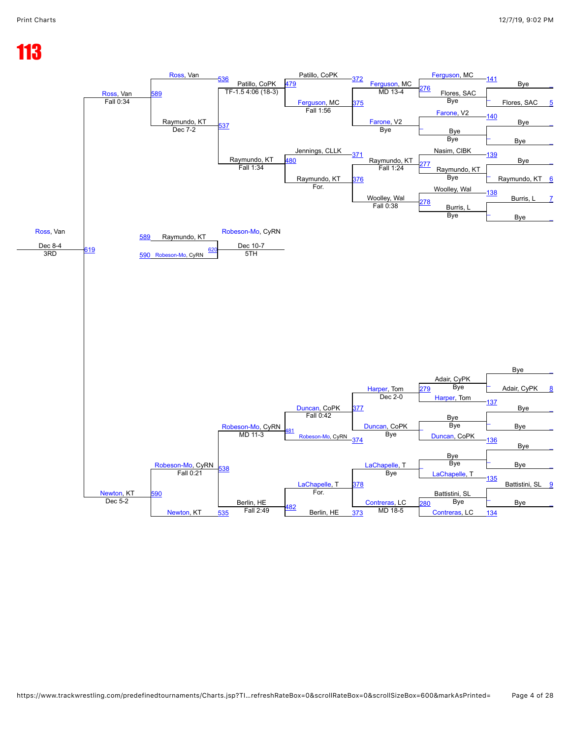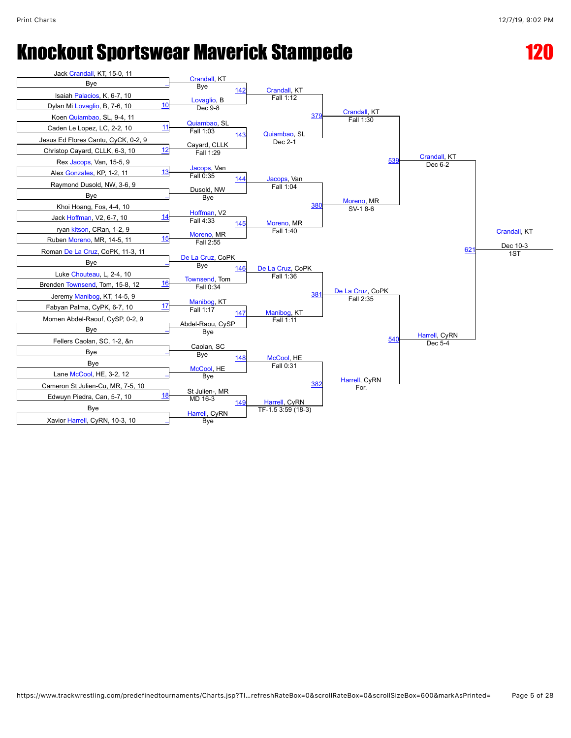

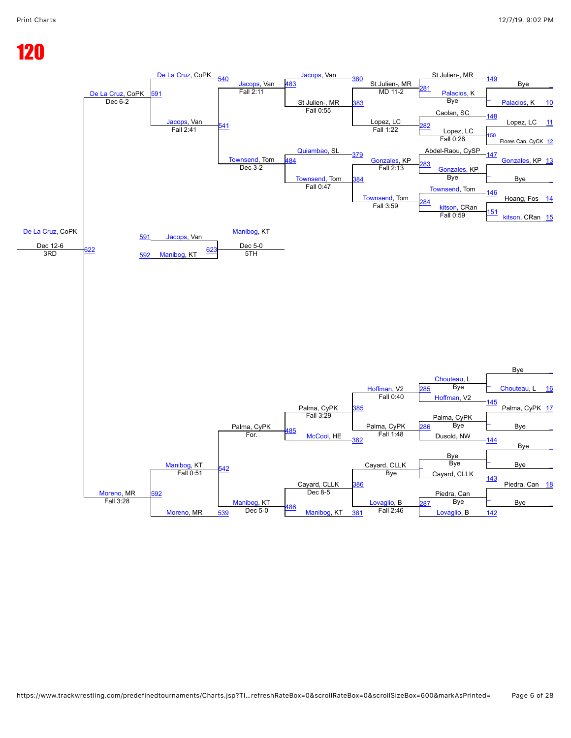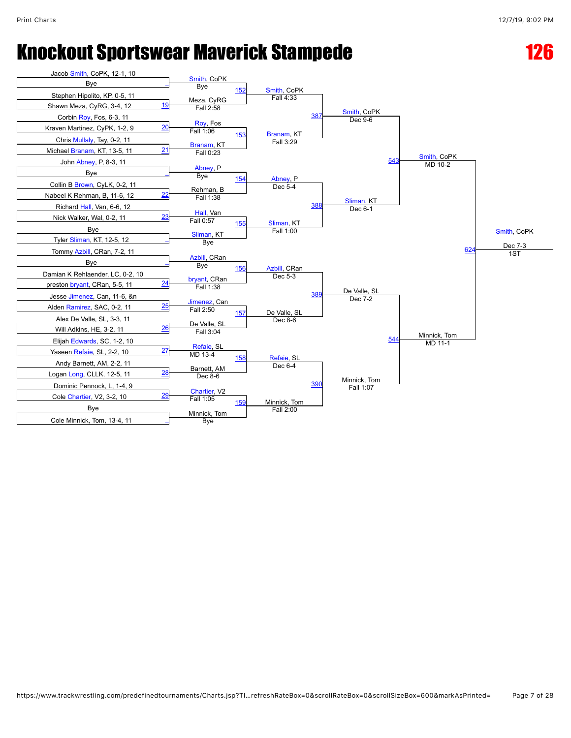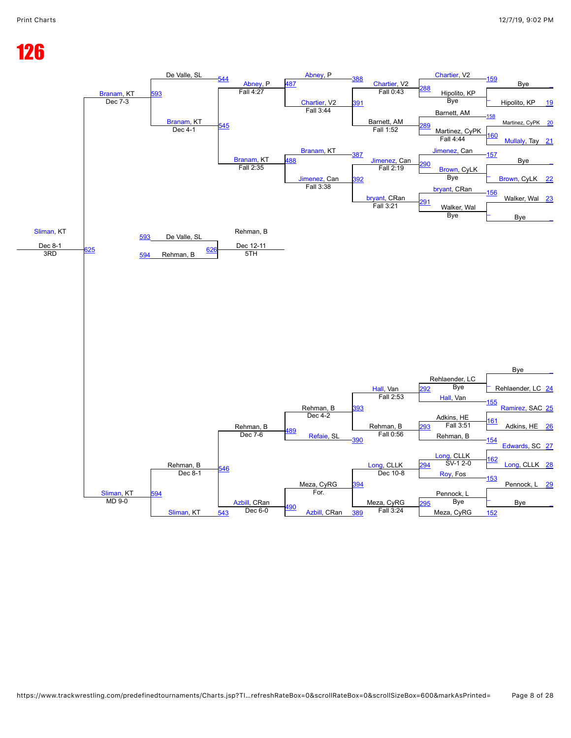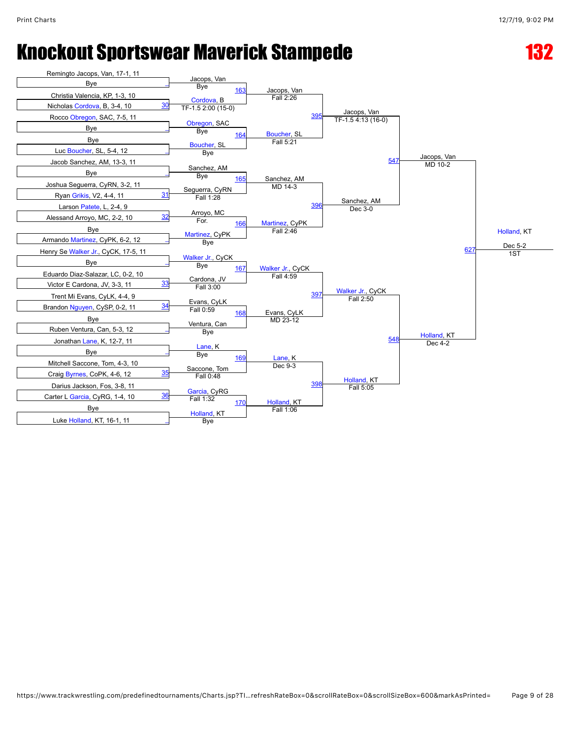

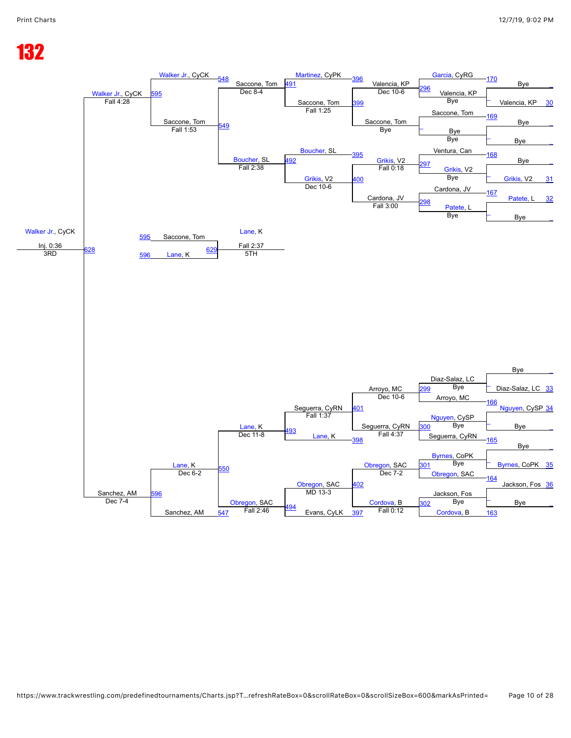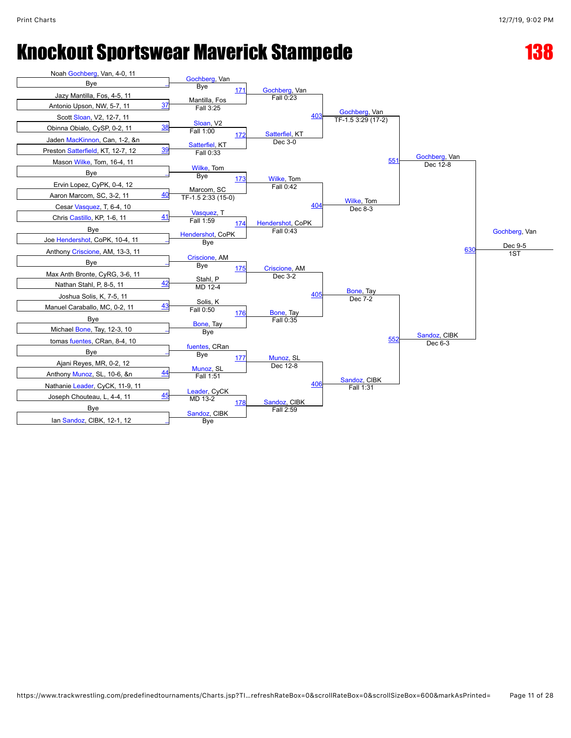| Noah Gochberg, Van, 4-0, 11       |           |                         |                            |                           |                         |                |
|-----------------------------------|-----------|-------------------------|----------------------------|---------------------------|-------------------------|----------------|
| Bye                               |           | Gochberg, Van<br>Bye    |                            |                           |                         |                |
| Jazy Mantilla, Fos, 4-5, 11       |           | 171<br>Mantilla, Fos    | Gochberg, Van<br>Fall 0:23 |                           |                         |                |
| Antonio Upson, NW, 5-7, 11        | 37        | Fall 3:25               |                            | Gochberg, Van             |                         |                |
| Scott Sloan, V2, 12-7, 11         |           | Sloan, V <sub>2</sub>   | 403                        | TF-1.5 3:29 (17-2)        |                         |                |
| Obinna Obialo, CySP, 0-2, 11      | 38        | Fall 1:00<br>172        | Satterfiel, KT             |                           |                         |                |
| Jaden MacKinnon, Can, 1-2, &n     |           | Satterfiel, KT          | Dec 3-0                    |                           |                         |                |
| Preston Satterfield, KT, 12-7, 12 | 39        | Fall 0:33               |                            |                           | Gochberg, Van           |                |
| Mason Wilke, Tom, 16-4, 11        |           | Wilke, Tom              |                            | 551                       | Dec 12-8                |                |
| Bye                               |           | Bye<br>173              | Wilke, Tom                 |                           |                         |                |
| Ervin Lopez, CyPK, 0-4, 12        |           | Marcom, SC              | Fall 0:42                  |                           |                         |                |
| Aaron Marcom, SC, 3-2, 11         | <u>40</u> | TF-1.5 2:33 (15-0)      |                            | Wilke, Tom                |                         |                |
| Cesar Vasquez, T, 6-4, 10         |           | Vasquez, T              | 404                        | Dec 8-3                   |                         |                |
| Chris Castillo, KP, 1-6, 11       | 41        | Fall 1:59<br>174        | Hendershot, CoPK           |                           |                         |                |
| Bye                               |           | Hendershot, CoPK        | Fall 0:43                  |                           |                         | Gochberg, Van  |
| Joe Hendershot, CoPK, 10-4, 11    |           | Bye                     |                            |                           |                         |                |
|                                   |           |                         |                            |                           |                         |                |
| Anthony Criscione, AM, 13-3, 11   |           |                         |                            |                           | 630                     | Dec 9-5<br>1ST |
| Bye                               |           | Criscione, AM<br>Bye    |                            |                           |                         |                |
| Max Anth Bronte, CyRG, 3-6, 11    |           | 175                     | Criscione, AM<br>Dec 3-2   |                           |                         |                |
| Nathan Stahl, P, 8-5, 11          | 42        | Stahl, P<br>MD 12-4     |                            |                           |                         |                |
| Joshua Solis, K, 7-5, 11          |           |                         | 405                        | Bone, Tay<br>Dec 7-2      |                         |                |
| Manuel Caraballo, MC, 0-2, 11     | 43        | Solis, K<br>Fall 0:50   |                            |                           |                         |                |
| Bye                               |           | 176                     | Bone, Tay<br>Fall 0:35     |                           |                         |                |
| Michael Bone, Tay, 12-3, 10       |           | Bone, Tay<br>Bye        |                            |                           |                         |                |
| tomas fuentes, CRan, 8-4, 10      |           |                         |                            | 552                       | Sandoz, CIBK<br>Dec 6-3 |                |
| Bye                               |           | fuentes, CRan<br>Bye    |                            |                           |                         |                |
| Ajani Reyes, MR, 0-2, 12          |           | 177                     | Munoz, SL<br>Dec 12-8      |                           |                         |                |
| Anthony Munoz, SL, 10-6, &n       | 44        | Munoz, SL<br>Fall 1:51  |                            |                           |                         |                |
| Nathanie Leader, CyCK, 11-9, 11   |           |                         | 406                        | Sandoz, CIBK<br>Fall 1:31 |                         |                |
| Joseph Chouteau, L, 4-4, 11       | 45        | Leader, CyCK<br>MD 13-2 |                            |                           |                         |                |
| Bye                               |           | 178                     | Sandoz, CIBK<br>Fall 2:59  |                           |                         |                |
| lan Sandoz, CIBK, 12-1, 12        |           | Sandoz, CIBK<br>Bye     |                            |                           |                         |                |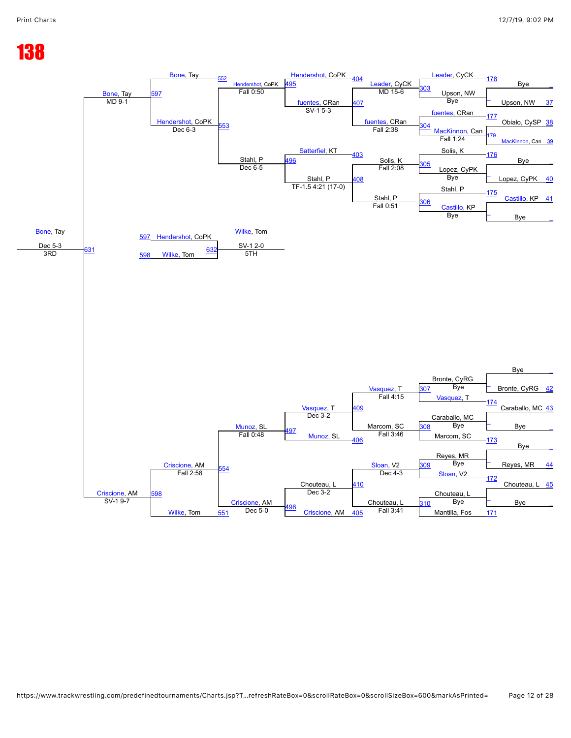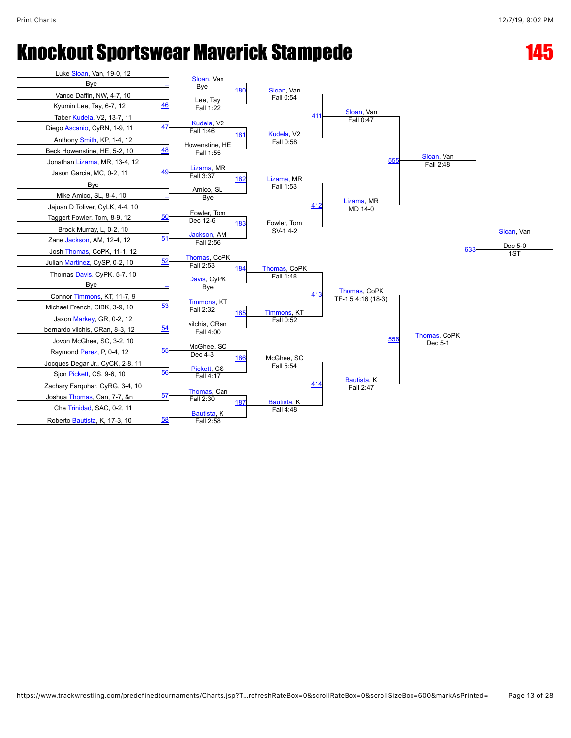| 145 |
|-----|
|     |
|     |

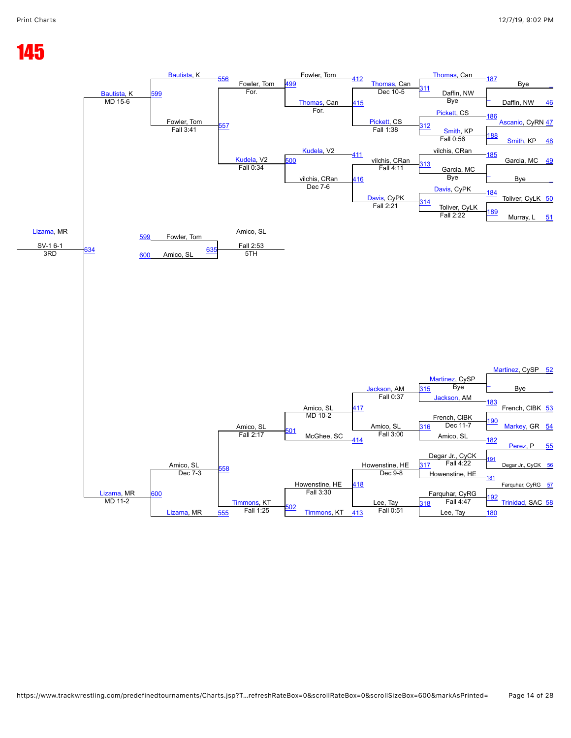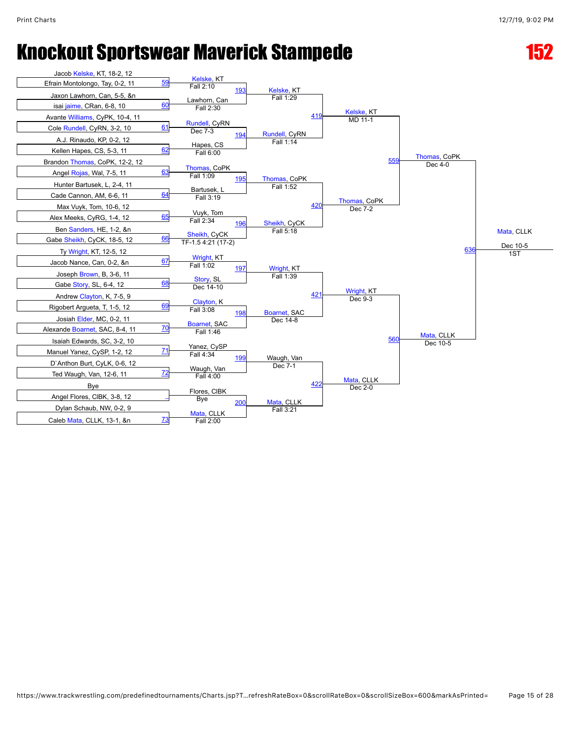| and the state of the state of the state of the state of the state of the state of the state of the state of th |
|----------------------------------------------------------------------------------------------------------------|
|                                                                                                                |
|                                                                                                                |
|                                                                                                                |

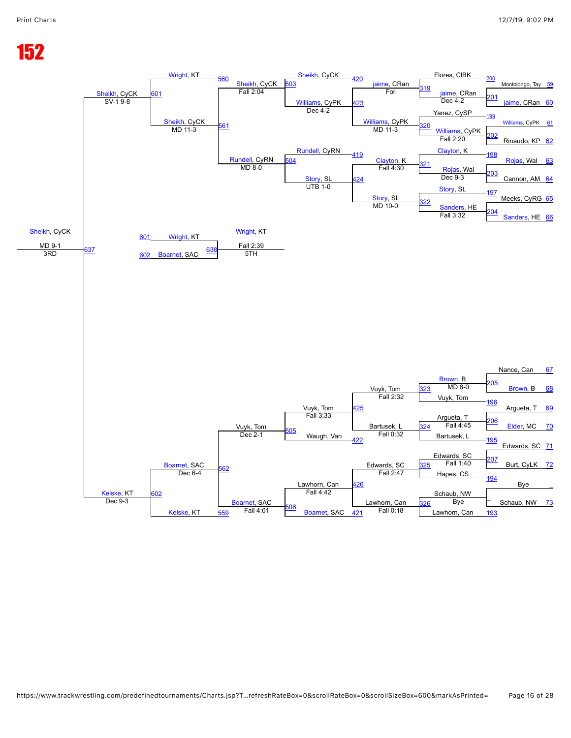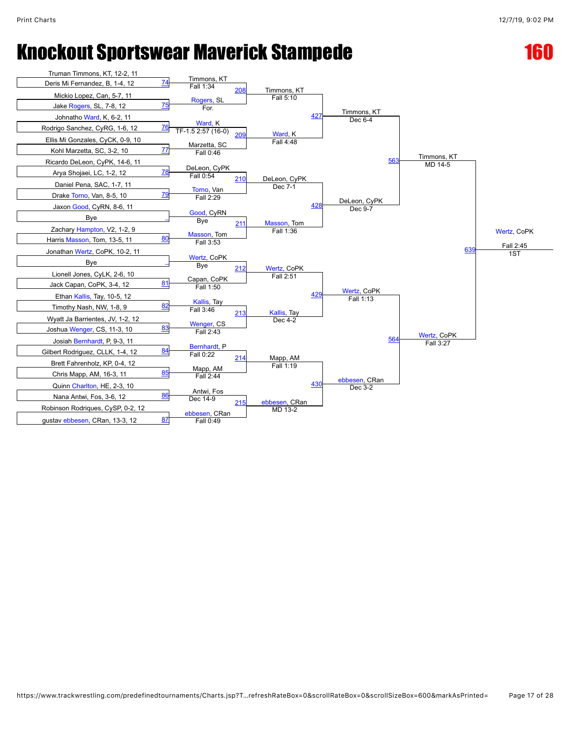| Truman Timmons, KT, 12-2, 11           |                                      |                          |                          |                        |             |
|----------------------------------------|--------------------------------------|--------------------------|--------------------------|------------------------|-------------|
| 74<br>Deris Mi Fernandez, B, 1-4, 12   | Timmons, KT<br>Fall 1:34             |                          |                          |                        |             |
| Mickio Lopez, Can, 5-7, 11             | 208                                  | Timmons, KT<br>Fall 5:10 |                          |                        |             |
| 75<br>Jake Rogers, SL, 7-8, 12         | Rogers, SL<br>For.                   |                          |                          |                        |             |
| Johnatho Ward, K, 6-2, 11              |                                      | 427                      | Timmons, KT<br>Dec 6-4   |                        |             |
| 76<br>Rodrigo Sanchez, CyRG, 1-6, 12   | Ward, K<br>TF-1.5 2:57 (16-0)<br>209 |                          |                          |                        |             |
| Ellis Mi Gonzales, CyCK, 0-9, 10       |                                      | Ward, K<br>Fall 4:48     |                          |                        |             |
| 77<br>Kohl Marzetta, SC, 3-2, 10       | Marzetta, SC<br>Fall 0:46            |                          |                          |                        |             |
| Ricardo DeLeon, CyPK, 14-6, 11         |                                      |                          | 563                      | Timmons, KT<br>MD 14-5 |             |
| <u>78</u><br>Arya Shojaei, LC, 1-2, 12 | DeLeon, CyPK<br>Fall 0:54<br>210     |                          |                          |                        |             |
| Daniel Pena, SAC, 1-7, 11              |                                      | DeLeon, CyPK<br>Dec 7-1  |                          |                        |             |
| <u>79</u><br>Drake Torno, Van, 8-5, 10 | Torno, Van<br>Fall 2:29              |                          |                          |                        |             |
| Jaxon Good, CyRN, 8-6, 11              |                                      | 428                      | DeLeon, CyPK<br>Dec 9-7  |                        |             |
| Bye                                    | Good, CyRN<br>Bye                    |                          |                          |                        |             |
| Zachary Hampton, V2, 1-2, 9            | 211                                  | Masson, Tom<br>Fall 1:36 |                          |                        | Wertz, CoPK |
| 80<br>Harris Masson, Tom, 13-5, 11     | Masson, Tom<br>Fall 3:53             |                          |                          |                        | Fall 2:45   |
| Jonathan Wertz, CoPK, 10-2, 11         |                                      |                          |                          | 639                    | 1ST         |
| Bye                                    | Wertz, CoPK<br>Bye<br>212            |                          |                          |                        |             |
| Lionell Jones, CyLK, 2-6, 10           |                                      | Wertz, CoPK<br>Fall 2:51 |                          |                        |             |
| 81<br>Jack Capan, CoPK, 3-4, 12        | Capan, CoPK<br>Fall 1:50             |                          |                          |                        |             |
| Ethan Kallis, Tay, 10-5, 12            |                                      | 429                      | Wertz, CoPK<br>Fall 1:13 |                        |             |
| 82<br>Timothy Nash, NW, 1-8, 9         | Kallis, Tay<br>Fall 3:46<br>213      | Kallis, Tay              |                          |                        |             |
| Wyatt Ja Barrientes, JV, 1-2, 12       |                                      | Dec 4-2                  |                          |                        |             |
| 83<br>Joshua Wenger, CS, 11-3, 10      | Wenger, CS<br>Fall 2:43              |                          |                          | Wertz, CoPK            |             |
| Josiah Bernhardt, P, 9-3, 11           | Bernhardt, P                         |                          | 564                      | Fall 3:27              |             |
| 84<br>Gilbert Rodriguez, CLLK, 1-4, 12 | Fall 0:22<br>214                     |                          |                          |                        |             |
| Brett Fahrenholz, KP, 0-4, 12          | Mapp, AM                             | Mapp, AM<br>Fall 1:19    |                          |                        |             |
| 85<br>Chris Mapp, AM, 16-3, 11         | Fall 2:44                            |                          | ebbesen, CRan            |                        |             |
| Quinn Charlton, HE, 2-3, 10            | Antwi, Fos                           | 430                      | Dec 3-2                  |                        |             |
| 86<br>Nana Antwi, Fos, 3-6, 12         | Dec 14-9<br>215                      | ebbesen, CRan            |                          |                        |             |
| Robinson Rodriques, CySP, 0-2, 12      | ebbesen, CRan                        | MD 13-2                  |                          |                        |             |
| 87<br>gustav ebbesen, CRan, 13-3, 12   | Fall 0:49                            |                          |                          |                        |             |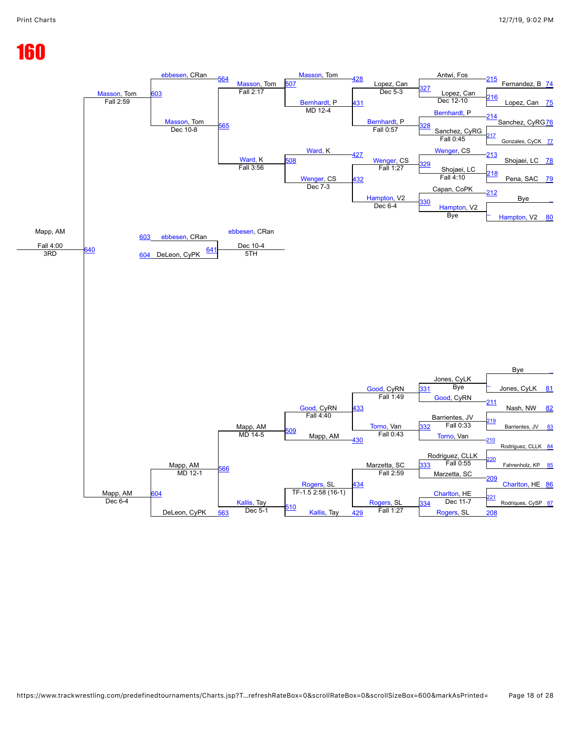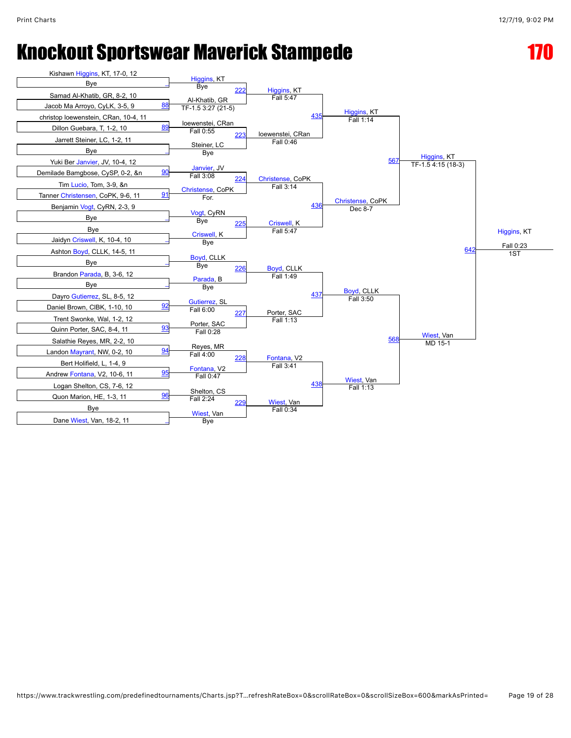| Kishawn Higgins, KT, 17-0, 12           | Higgins, KT                   |     |                               |     |                             |                                   |                  |
|-----------------------------------------|-------------------------------|-----|-------------------------------|-----|-----------------------------|-----------------------------------|------------------|
| Bye                                     | Bye                           | 222 |                               |     |                             |                                   |                  |
| Samad Al-Khatib, GR, 8-2, 10            | Al-Khatib, GR                 |     | Higgins, KT<br>Fall 5:47      |     |                             |                                   |                  |
| 88<br>Jacob Ma Arroyo, CyLK, 3-5, 9     | TF-1.5 3:27 (21-5)            |     |                               |     |                             |                                   |                  |
| christop loewenstein, CRan, 10-4, 11    |                               |     |                               | 435 | Higgins, KT<br>Fall 1:14    |                                   |                  |
| 89<br>Dillon Guebara, T, 1-2, 10        | loewenstei, CRan<br>Fall 0:55 |     | loewenstei, CRan              |     |                             |                                   |                  |
| Jarrett Steiner, LC, 1-2, 11            | Steiner, LC                   | 223 | Fall 0:46                     |     |                             |                                   |                  |
| Bye                                     | Bye                           |     |                               |     |                             |                                   |                  |
| Yuki Ber Janvier, JV, 10-4, 12          |                               |     |                               |     | 567                         | Higgins, KT<br>TF-1.5 4:15 (18-3) |                  |
| 90<br>Demilade Bamgbose, CySP, 0-2, &n  | Janvier, JV<br>Fall 3:08      |     |                               |     |                             |                                   |                  |
| Tim Lucio, Tom, 3-9, &n                 |                               | 224 | Christense, CoPK<br>Fall 3:14 |     |                             |                                   |                  |
| 91<br>Tanner Christensen, CoPK, 9-6, 11 | Christense, CoPK<br>For.      |     |                               |     |                             |                                   |                  |
| Benjamin Vogt, CyRN, 2-3, 9             |                               |     |                               | 436 | Christense, CoPK<br>Dec 8-7 |                                   |                  |
| Bye                                     | Vogt, CyRN<br>Bye             |     |                               |     |                             |                                   |                  |
| Bye                                     |                               | 225 | Criswell, K<br>Fall 5:47      |     |                             |                                   | Higgins, KT      |
| Jaidyn Criswell, K, 10-4, 10            | Criswell, K<br>Bye            |     |                               |     |                             |                                   |                  |
| Ashton Boyd, CLLK, 14-5, 11             |                               |     |                               |     |                             | 642                               | Fall 0:23<br>1ST |
| Bye                                     | Boyd, CLLK<br>Bye             |     |                               |     |                             |                                   |                  |
| Brandon Parada, B, 3-6, 12              |                               | 226 | Boyd, CLLK<br>Fall 1:49       |     |                             |                                   |                  |
| Bye                                     | Parada, B<br>Bye              |     |                               |     |                             |                                   |                  |
| Dayro Gutierrez, SL, 8-5, 12            |                               |     |                               | 437 | Boyd, CLLK<br>Fall 3:50     |                                   |                  |
| 92<br>Daniel Brown, CIBK, 1-10, 10      | Gutierrez, SL<br>Fall 6:00    |     |                               |     |                             |                                   |                  |
| Trent Swonke, Wal, 1-2, 12              |                               | 227 | Porter, SAC<br>Fall 1:13      |     |                             |                                   |                  |
| 93<br>Quinn Porter, SAC, 8-4, 11        | Porter, SAC<br>Fall 0:28      |     |                               |     |                             |                                   |                  |
| Salathie Reyes, MR, 2-2, 10             |                               |     |                               |     | 568                         | Wiest, Van<br>MD 15-1             |                  |
| 94<br>Landon Mayrant, NW, 0-2, 10       | Reyes, MR<br>Fall 4:00        |     |                               |     |                             |                                   |                  |
| Bert Holifield, L, 1-4, 9               |                               | 228 | Fontana, V2<br>Fall 3:41      |     |                             |                                   |                  |
| 95<br>Andrew Fontana, V2, 10-6, 11      | Fontana, V2<br>Fall 0:47      |     |                               |     |                             |                                   |                  |
| Logan Shelton, CS, 7-6, 12              |                               |     |                               | 438 | Wiest, Van<br>Fall 1:13     |                                   |                  |
| 96<br>Quon Marion, HE, 1-3, 11          | Shelton, CS<br>Fall 2:24      |     |                               |     |                             |                                   |                  |
| Bye                                     |                               | 229 | Wiest, Van<br>Fall 0:34       |     |                             |                                   |                  |
| Dane Wiest, Van, 18-2, 11               | Wiest, Van<br>Bye             |     |                               |     |                             |                                   |                  |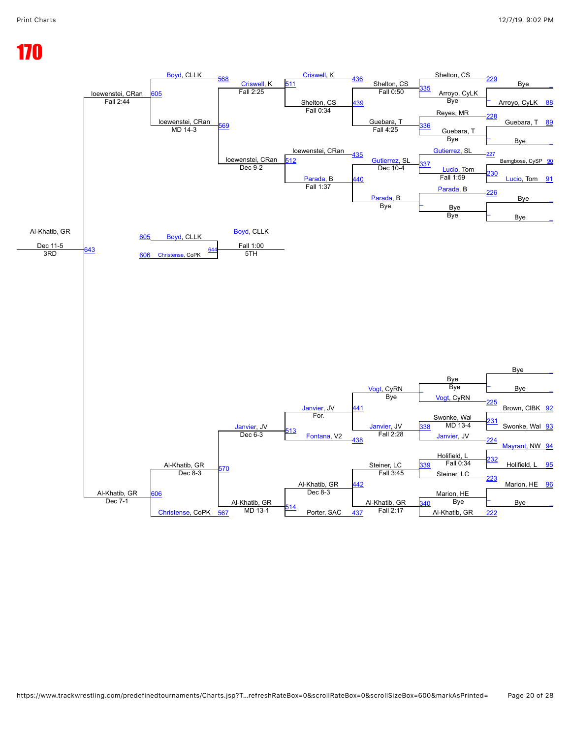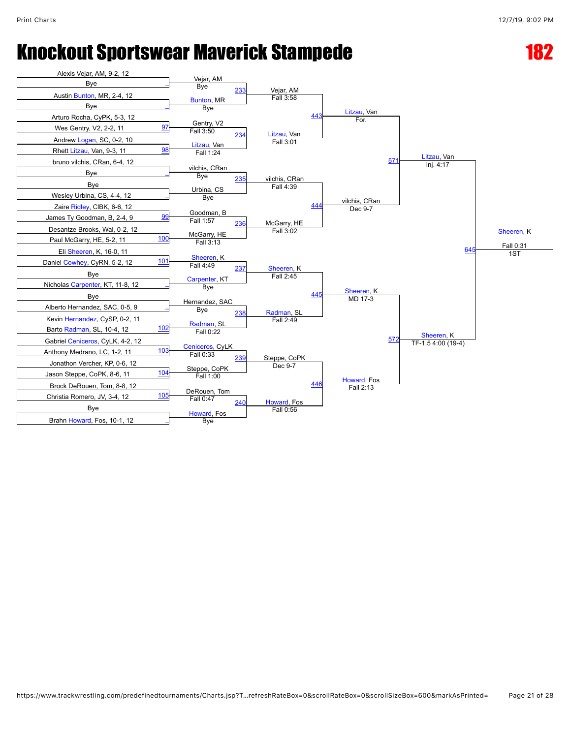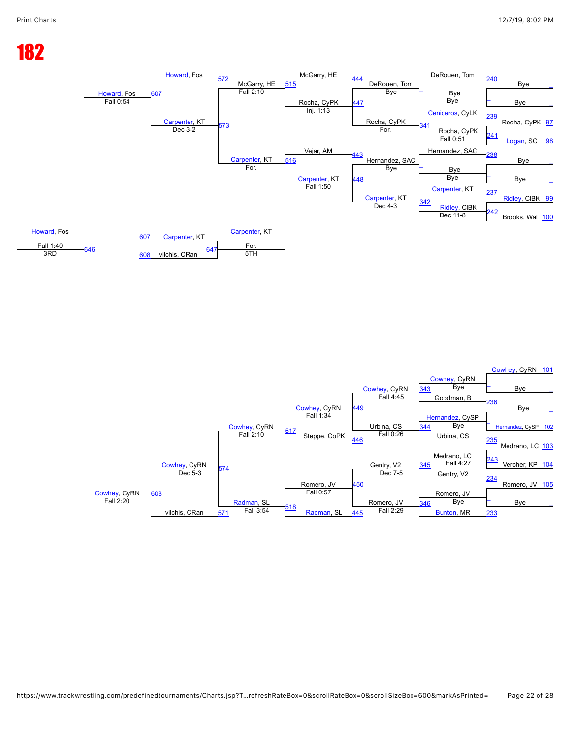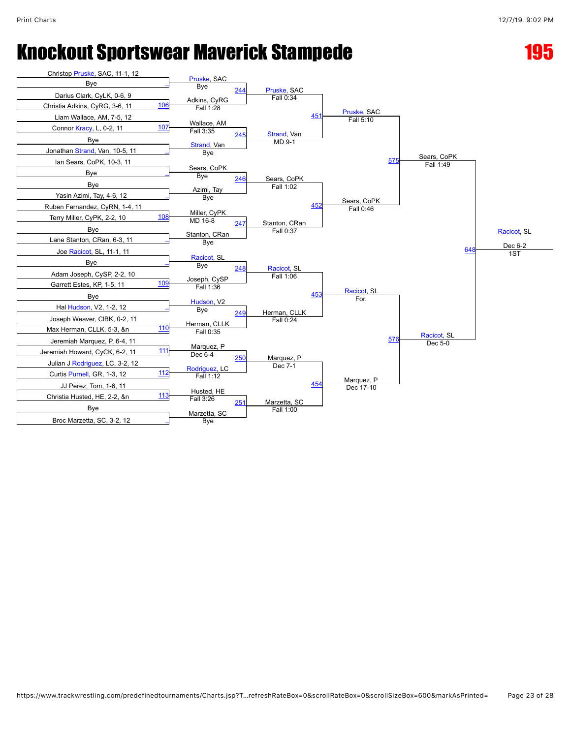| Christop Pruske, SAC, 11-1, 12  |            |                           |                 |                          |     |                          |                          |     |             |  |
|---------------------------------|------------|---------------------------|-----------------|--------------------------|-----|--------------------------|--------------------------|-----|-------------|--|
| Bye                             |            | Pruske, SAC<br>Bye        |                 |                          |     |                          |                          |     |             |  |
| Darius Clark, CyLK, 0-6, 9      |            |                           | 244             | Pruske, SAC<br>Fall 0:34 |     |                          |                          |     |             |  |
| Christia Adkins, CyRG, 3-6, 11  | <u>106</u> | Adkins, CyRG<br>Fall 1:28 |                 |                          |     |                          |                          |     |             |  |
| Liam Wallace, AM, 7-5, 12       |            |                           |                 |                          | 451 | Pruske, SAC<br>Fall 5:10 |                          |     |             |  |
| Connor Kracy, L, 0-2, 11        | <u>107</u> | Wallace, AM<br>Fall 3:35  |                 |                          |     |                          |                          |     |             |  |
| Bye                             |            |                           | 245             | Strand, Van<br>MD 9-1    |     |                          |                          |     |             |  |
| Jonathan Strand, Van, 10-5, 11  |            | Strand, Van<br>Bye        |                 |                          |     |                          |                          |     |             |  |
| Ian Sears, CoPK, 10-3, 11       |            |                           |                 |                          |     | 575                      | Sears, CoPK<br>Fall 1:49 |     |             |  |
| Bye                             |            | Sears, CoPK<br>Bye        | 246             |                          |     |                          |                          |     |             |  |
| Bye                             |            | Azimi, Tay                |                 | Sears, CoPK<br>Fall 1:02 |     |                          |                          |     |             |  |
| Yasin Azimi, Tay, 4-6, 12       |            | Bye                       |                 |                          |     | Sears, CoPK              |                          |     |             |  |
| Ruben Fernandez, CyRN, 1-4, 11  |            |                           |                 |                          | 452 | Fall 0:46                |                          |     |             |  |
| Terry Miller, CyPK, 2-2, 10     | <u>108</u> | Miller, CyPK<br>MD 16-8   | 247             | Stanton, CRan            |     |                          |                          |     |             |  |
| Bye                             |            | Stanton, CRan             |                 | Fall 0:37                |     |                          |                          |     | Racicot, SL |  |
| Lane Stanton, CRan, 6-3, 11     |            | Bye                       |                 |                          |     |                          |                          |     | Dec 6-2     |  |
| Joe Racicot, SL, 11-1, 11       |            | Racicot, SL               |                 |                          |     |                          |                          | 648 | 1ST         |  |
| Bye                             |            | Bye                       | 248             | Racicot, SL              |     |                          |                          |     |             |  |
| Adam Joseph, CySP, 2-2, 10      |            | Joseph, CySP              |                 | Fall 1:06                |     |                          |                          |     |             |  |
| Garrett Estes, KP, 1-5, 11      | 109        | Fall 1:36                 |                 |                          |     | Racicot, SL              |                          |     |             |  |
| Bye                             |            | Hudson, V2                |                 |                          | 453 | For.                     |                          |     |             |  |
| Hal Hudson, V2, 1-2, 12         |            | Bye                       | 249             | Herman, CLLK             |     |                          |                          |     |             |  |
| Joseph Weaver, CIBK, 0-2, 11    |            | Herman, CLLK              |                 | Fall 0:24                |     |                          |                          |     |             |  |
| Max Herman, CLLK, 5-3, &n       | <u>110</u> | Fall 0:35                 |                 |                          |     |                          | Racicot, SL              |     |             |  |
| Jeremiah Marquez, P, 6-4, 11    |            | Marquez, P                |                 |                          |     | 576                      | Dec 5-0                  |     |             |  |
| Jeremiah Howard, CyCK, 6-2, 11  | <u>111</u> | Dec 6-4                   | 250             | Marquez, P               |     |                          |                          |     |             |  |
| Julian J Rodriguez, LC, 3-2, 12 |            | Rodriguez, LC             |                 | Dec 7-1                  |     |                          |                          |     |             |  |
| Curtis Purnell, GR, 1-3, 12     | <u>112</u> | Fall 1:12                 |                 |                          |     | Marquez, P               |                          |     |             |  |
| JJ Perez, Tom, 1-6, 11          |            | Husted, HE                |                 |                          | 454 | Dec 17-10                |                          |     |             |  |
| Christia Husted, HE, 2-2, &n    | 113        | Fall 3:26                 | 25 <sup>1</sup> | Marzetta, SC             |     |                          |                          |     |             |  |
| Bye                             |            | Marzetta, SC              |                 | Fall 1:00                |     |                          |                          |     |             |  |
| Broc Marzetta, SC, 3-2, 12      |            | Bye                       |                 |                          |     |                          |                          |     |             |  |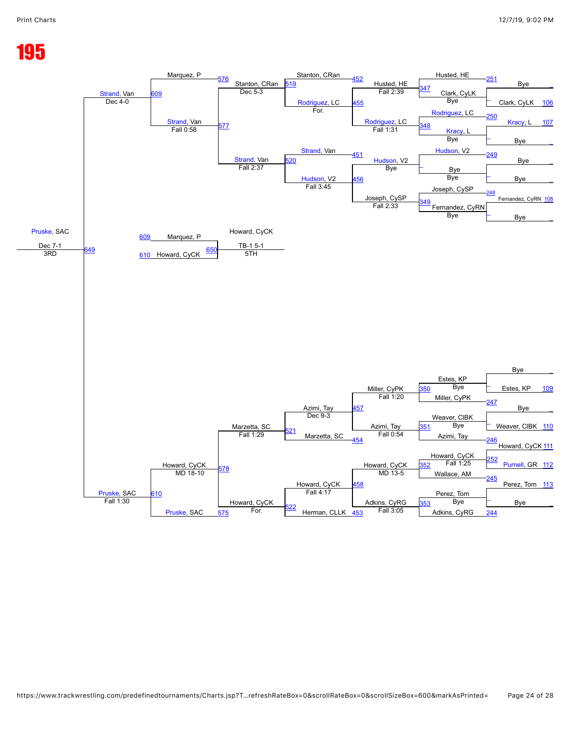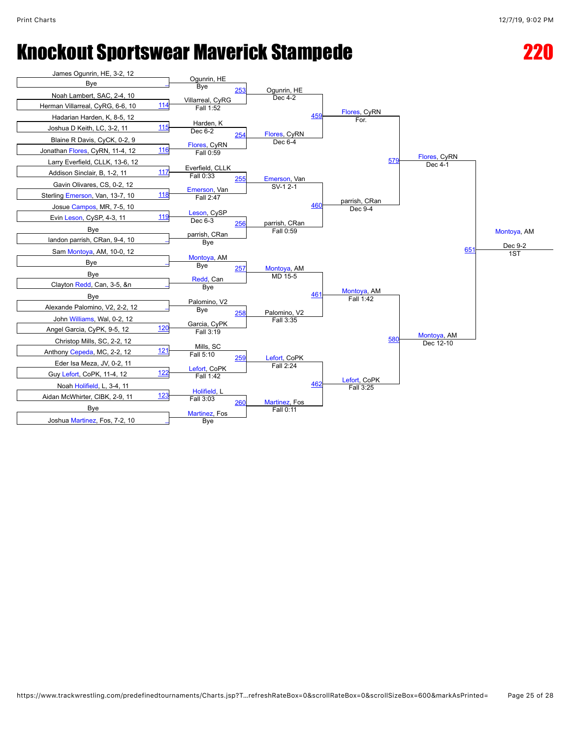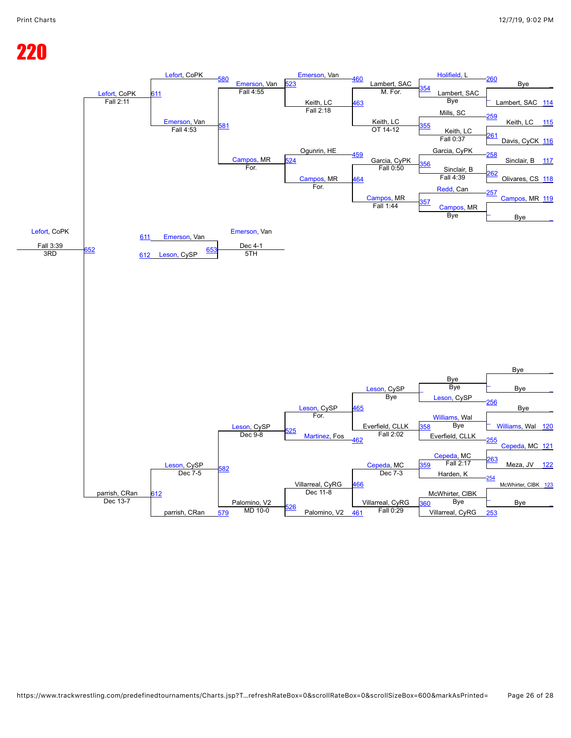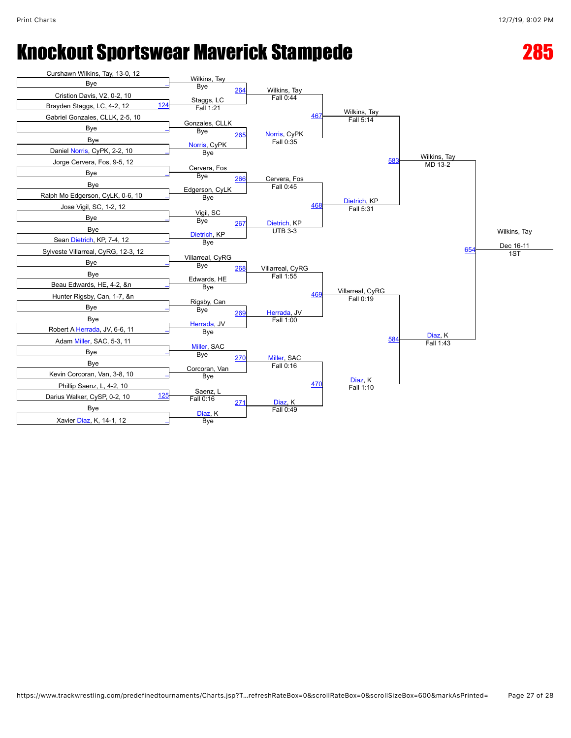